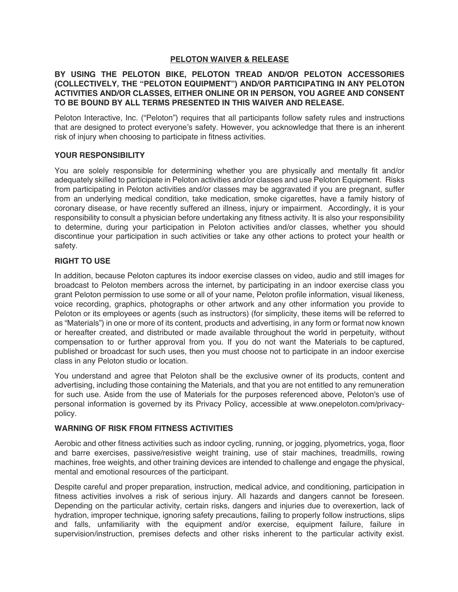### **PELOTON WAIVER & RELEASE**

### **BY USING THE PELOTON BIKE, PELOTON TREAD AND/OR PELOTON ACCESSORIES (COLLECTIVELY, THE "PELOTON EQUIPMENT") AND/OR PARTICIPATING IN ANY PELOTON ACTIVITIES AND/OR CLASSES, EITHER ONLINE OR IN PERSON, YOU AGREE AND CONSENT TO BE BOUND BY ALL TERMS PRESENTED IN THIS WAIVER AND RELEASE.**

Peloton Interactive, Inc. ("Peloton") requires that all participants follow safety rules and instructions that are designed to protect everyone's safety. However, you acknowledge that there is an inherent risk of injury when choosing to participate in fitness activities.

#### **YOUR RESPONSIBILITY**

You are solely responsible for determining whether you are physically and mentally fit and/or adequately skilled to participate in Peloton activities and/or classes and use Peloton Equipment. Risks from participating in Peloton activities and/or classes may be aggravated if you are pregnant, suffer from an underlying medical condition, take medication, smoke cigarettes, have a family history of coronary disease, or have recently suffered an illness, injury or impairment. Accordingly, it is your responsibility to consult a physician before undertaking any fitness activity. It is also your responsibility to determine, during your participation in Peloton activities and/or classes, whether you should discontinue your participation in such activities or take any other actions to protect your health or safety.

# **RIGHT TO USE**

In addition, because Peloton captures its indoor exercise classes on video, audio and still images for broadcast to Peloton members across the internet, by participating in an indoor exercise class you grant Peloton permission to use some or all of your name, Peloton profile information, visual likeness, voice recording, graphics, photographs or other artwork and any other information you provide to Peloton or its employees or agents (such as instructors) (for simplicity, these items will be referred to as "Materials") in one or more of its content, products and advertising, in any form or format now known or hereafter created, and distributed or made available throughout the world in perpetuity, without compensation to or further approval from you. If you do not want the Materials to be captured, published or broadcast for such uses, then you must choose not to participate in an indoor exercise class in any Peloton studio or location.

You understand and agree that Peloton shall be the exclusive owner of its products, content and advertising, including those containing the Materials, and that you are not entitled to any remuneration for such use. Aside from the use of Materials for the purposes referenced above, Peloton's use of personal information is governed by its Privacy Policy, accessible at www.onepeloton.com/privacypolicy.

#### **WARNING OF RISK FROM FITNESS ACTIVITIES**

Aerobic and other fitness activities such as indoor cycling, running, or jogging, plyometrics, yoga, floor and barre exercises, passive/resistive weight training, use of stair machines, treadmills, rowing machines, free weights, and other training devices are intended to challenge and engage the physical, mental and emotional resources of the participant.

Despite careful and proper preparation, instruction, medical advice, and conditioning, participation in fitness activities involves a risk of serious injury. All hazards and dangers cannot be foreseen. Depending on the particular activity, certain risks, dangers and injuries due to overexertion, lack of hydration, improper technique, ignoring safety precautions, failing to properly follow instructions, slips and falls, unfamiliarity with the equipment and/or exercise, equipment failure, failure in supervision/instruction, premises defects and other risks inherent to the particular activity exist.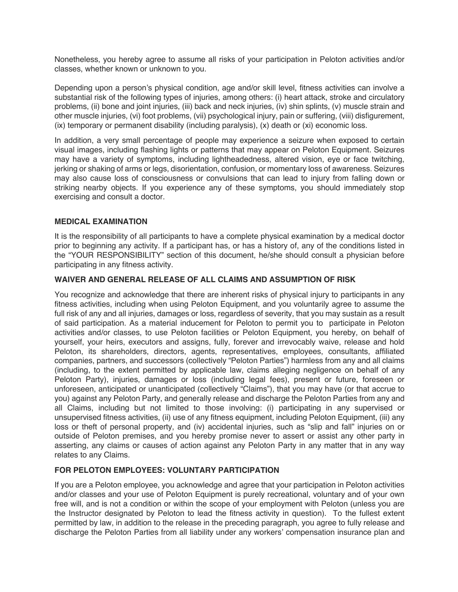Nonetheless, you hereby agree to assume all risks of your participation in Peloton activities and/or classes, whether known or unknown to you.

Depending upon a person's physical condition, age and/or skill level, fitness activities can involve a substantial risk of the following types of injuries, among others: (i) heart attack, stroke and circulatory problems, (ii) bone and joint injuries, (iii) back and neck injuries, (iv) shin splints, (v) muscle strain and other muscle injuries, (vi) foot problems, (vii) psychological injury, pain or suffering, (viii) disfigurement, (ix) temporary or permanent disability (including paralysis), (x) death or (xi) economic loss.

In addition, a very small percentage of people may experience a seizure when exposed to certain visual images, including flashing lights or patterns that may appear on Peloton Equipment. Seizures may have a variety of symptoms, including lightheadedness, altered vision, eye or face twitching, jerking or shaking of arms or legs, disorientation, confusion, or momentary loss of awareness. Seizures may also cause loss of consciousness or convulsions that can lead to injury from falling down or striking nearby objects. If you experience any of these symptoms, you should immediately stop exercising and consult a doctor.

# **MEDICAL EXAMINATION**

It is the responsibility of all participants to have a complete physical examination by a medical doctor prior to beginning any activity. If a participant has, or has a history of, any of the conditions listed in the "YOUR RESPONSIBILITY" section of this document, he/she should consult a physician before participating in any fitness activity.

#### **WAIVER AND GENERAL RELEASE OF ALL CLAIMS AND ASSUMPTION OF RISK**

You recognize and acknowledge that there are inherent risks of physical injury to participants in any fitness activities, including when using Peloton Equipment, and you voluntarily agree to assume the full risk of any and all injuries, damages or loss, regardless of severity, that you may sustain as a result of said participation. As a material inducement for Peloton to permit you to participate in Peloton activities and/or classes, to use Peloton facilities or Peloton Equipment, you hereby, on behalf of yourself, your heirs, executors and assigns, fully, forever and irrevocably waive, release and hold Peloton, its shareholders, directors, agents, representatives, employees, consultants, affiliated companies, partners, and successors (collectively "Peloton Parties") harmless from any and all claims (including, to the extent permitted by applicable law, claims alleging negligence on behalf of any Peloton Party), injuries, damages or loss (including legal fees), present or future, foreseen or unforeseen, anticipated or unanticipated (collectively "Claims"), that you may have (or that accrue to you) against any Peloton Party, and generally release and discharge the Peloton Parties from any and all Claims, including but not limited to those involving: (i) participating in any supervised or unsupervised fitness activities, (ii) use of any fitness equipment, including Peloton Equipment, (iii) any loss or theft of personal property, and (iv) accidental injuries, such as "slip and fall" injuries on or outside of Peloton premises, and you hereby promise never to assert or assist any other party in asserting, any claims or causes of action against any Peloton Party in any matter that in any way relates to any Claims.

# **FOR PELOTON EMPLOYEES: VOLUNTARY PARTICIPATION**

If you are a Peloton employee, you acknowledge and agree that your participation in Peloton activities and/or classes and your use of Peloton Equipment is purely recreational, voluntary and of your own free will, and is not a condition or within the scope of your employment with Peloton (unless you are the Instructor designated by Peloton to lead the fitness activity in question). To the fullest extent permitted by law, in addition to the release in the preceding paragraph, you agree to fully release and discharge the Peloton Parties from all liability under any workers' compensation insurance plan and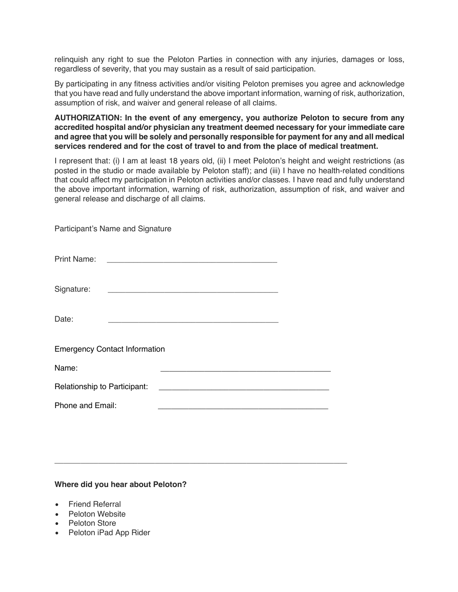relinquish any right to sue the Peloton Parties in connection with any injuries, damages or loss, regardless of severity, that you may sustain as a result of said participation.

By participating in any fitness activities and/or visiting Peloton premises you agree and acknowledge that you have read and fully understand the above important information, warning of risk, authorization, assumption of risk, and waiver and general release of all claims.

**AUTHORIZATION: In the event of any emergency, you authorize Peloton to secure from any accredited hospital and/or physician any treatment deemed necessary for your immediate care and agree that you will be solely and personally responsible for payment for any and all medical services rendered and for the cost of travel to and from the place of medical treatment.**

I represent that: (i) I am at least 18 years old, (ii) I meet Peloton's height and weight restrictions (as posted in the studio or made available by Peloton staff); and (iii) I have no health-related conditions that could affect my participation in Peloton activities and/or classes. I have read and fully understand the above important information, warning of risk, authorization, assumption of risk, and waiver and general release and discharge of all claims.

|                                      | Participant's Name and Signature |                                                                                                                      |  |  |
|--------------------------------------|----------------------------------|----------------------------------------------------------------------------------------------------------------------|--|--|
|                                      |                                  |                                                                                                                      |  |  |
| Signature:                           |                                  | <u> 1980 - Antonio Alemania, prima postala de la contrada de la contrada de la contrada de la contrada de la con</u> |  |  |
| Date:                                |                                  | <u> 1980 - John Stein, mars and de Britain and de Britain and de Britain and de Britain and de Britain and de Br</u> |  |  |
| <b>Emergency Contact Information</b> |                                  |                                                                                                                      |  |  |
| Name:                                |                                  |                                                                                                                      |  |  |
| Relationship to Participant:         |                                  |                                                                                                                      |  |  |
| Phone and Email:                     |                                  |                                                                                                                      |  |  |

\_\_\_\_\_\_\_\_\_\_\_\_\_\_\_\_\_\_\_\_\_\_\_\_\_\_\_\_\_\_\_\_\_\_\_\_\_\_\_\_\_\_\_\_\_\_\_\_\_\_\_\_\_\_\_\_\_\_\_\_\_\_\_\_\_\_\_

#### **Where did you hear about Peloton?**

- Friend Referral
- Peloton Website
- **Peloton Store**
- Peloton iPad App Rider